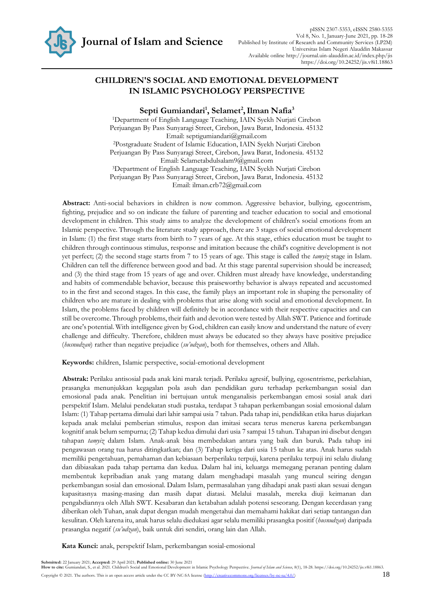

# **CHILDREN'S SOCIAL AND EMOTIONAL DEVELOPMENT IN ISLAMIC PSYCHOLOGY PERSPECTIVE**

**Septi Gumiandari<sup>1</sup> , Selamet<sup>2</sup> ,Ilman Nafia<sup>3</sup>**

<sup>1</sup>Department of English Language Teaching, IAIN Syekh Nurjati Cirebon Perjuangan By Pass Sunyaragi Street, Cirebon, Jawa Barat, Indonesia. 45132 Email: septigumiandari@gmail.com <sup>2</sup>Postgraduate Student of Islamic Education, IAIN Syekh Nurjati Cirebon Perjuangan By Pass Sunyaragi Street, Cirebon, Jawa Barat, Indonesia. 45132 Email: [Selametabdulsalam9@gmail.com](mailto:Selametabdulsalam9@gmail.com) <sup>3</sup>Department of English Language Teaching, IAIN Syekh Nurjati Cirebon Perjuangan By Pass Sunyaragi Street, Cirebon, Jawa Barat, Indonesia. 45132 Email: [ilman.crb72@gmail.com](mailto:ilman.crb72@gmail.com)

**Abstract:** Anti-social behaviors in children is now common. Aggressive behavior, bullying, egocentrism, fighting, prejudice and so on indicate the failure of parenting and teacher education to social and emotional development in children. This study aims to analyze the development of children's social emotions from an Islamic perspective. Through the literature study approach, there are 3 stages of social emotional development in Islam: (1) the first stage starts from birth to 7 years of age. At this stage, ethics education must be taught to children through continuous stimulus, response and imitation because the child's cognitive development is not yet perfect; (2) the second stage starts from 7 to 15 years of age. This stage is called the *tamyiz* stage in Islam. Children can tell the difference between good and bad. At this stage parental supervision should be increased; and (3) the third stage from 15 years of age and over. Children must already have knowledge, understanding and habits of commendable behavior, because this praiseworthy behavior is always repeated and accustomed to in the first and second stages. In this case, the family plays an important role in shaping the personality of children who are mature in dealing with problems that arise along with social and emotional development. In Islam, the problems faced by children will definitely be in accordance with their respective capacities and can still be overcome. Through problems, their faith and devotion were tested by Allah SWT. Patience and fortitude are one's potential. With intelligence given by God, children can easily know and understand the nature of every challenge and difficulty. Therefore, children must always be educated so they always have positive prejudice (*husnudzan*) rather than negative prejudice (*su'udzan*), both for themselves, others and Allah.

**Keywords:** children, Islamic perspective, social-emotional development

**Abstrak:** Perilaku antisosial pada anak kini marak terjadi. Perilaku agresif, bullying, egosentrisme, perkelahian, prasangka menunjukkan kegagalan pola asuh dan pendidikan guru terhadap perkembangan sosial dan emosional pada anak. Penelitian ini bertujuan untuk menganalisis perkembangan emosi sosial anak dari perspektif Islam. Melalui pendekatan studi pustaka, terdapat 3 tahapan perkembangan sosial emosional dalam Islam: (1) Tahap pertama dimulai dari lahir sampai usia 7 tahun. Pada tahap ini, pendidikan etika harus diajarkan kepada anak melalui pemberian stimulus, respon dan imitasi secara terus menerus karena perkembangan kognitif anak belum sempurna; (2) Tahap kedua dimulai dari usia 7 sampai 15 tahun. Tahapan ini disebut dengan tahapan *tamyiz* dalam Islam. Anak-anak bisa membedakan antara yang baik dan buruk. Pada tahap ini pengawasan orang tua harus ditingkatkan; dan (3) Tahap ketiga dari usia 15 tahun ke atas. Anak harus sudah memiliki pengetahuan, pemahaman dan kebiasaan berperilaku terpuji, karena perilaku terpuji ini selalu diulang dan dibiasakan pada tahap pertama dan kedua. Dalam hal ini, keluarga memegang peranan penting dalam membentuk kepribadian anak yang matang dalam menghadapi masalah yang muncul seiring dengan perkembangan sosial dan emosional. Dalam Islam, permasalahan yang dihadapi anak pasti akan sesuai dengan kapasitasnya masing-masing dan masih dapat diatasi. Melalui masalah, mereka diuji keimanan dan pengabdiannya oleh Allah SWT. Kesabaran dan ketabahan adalah potensi seseorang. Dengan kecerdasan yang diberikan oleh Tuhan, anak dapat dengan mudah mengetahui dan memahami hakikat dari setiap tantangan dan kesulitan. Oleh karena itu, anak harus selalu diedukasi agar selalu memiliki prasangka positif (*husnudzan*) daripada prasangka negatif (*su'udzan*), baik untuk diri sendiri, orang lain dan Allah.

**Kata Kunci:** anak, perspektif Islam, perkembangan sosial-emosional

Submitted: 22 January 2021; Accepted: 29 April 2021; Published online: 30 June 2021<br>How to cite: Gumiandari, S., et al. 2021. Children's Social and Emotional Development in Islamic Psychology Perspective. *Journal of Islam* Copyright © 2021. The authors. This is an open access article under the CC BY-NC-SA license [\(http://creativecommons.org/licenses/by-nc-sa/4.0/\)](http://creativecommons.org/licenses/by-nc-sa/4.0/)  $18$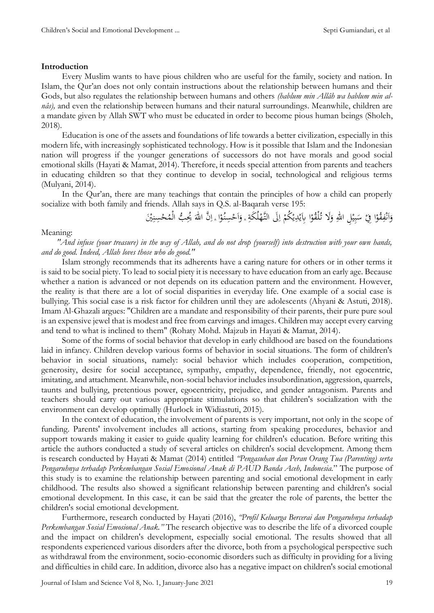# **Introduction**

Every Muslim wants to have pious children who are useful for the family, society and nation. In Islam, the Qur'an does not only contain instructions about the relationship between humans and their Gods, but also regulates the relationship between humans and others *(hablum min Allâh wa hablum min alnâs),* and even the relationship between humans and their natural surroundings. Meanwhile, children are a mandate given by Allah SWT who must be educated in order to become pious human beings (Sholeh, 2018).

Education is one of the assets and foundations of life towards a better civilization, especially in this modern life, with increasingly sophisticated technology. How is it possible that Islam and the Indonesian nation will progress if the younger generations of successors do not have morals and good social emotional skills (Hayati & Mamat, 2014). Therefore, it needs special attention from parents and teachers in educating children so that they continue to develop in social, technological and religious terms (Mulyani, 2014).

In the Qur'an, there are many teachings that contain the principles of how a child can properly socialize with both family and friends. Allah says in Q.S. al-Baqarah verse 195:

> ا <u>ٔ</u> وَاَنْفِقُوْا فِيْ سَبِيْلِ اللّٰهِ وَلَا تُلْقُوْا بِاَيْدِيْكُمْ اِلَى التَّهْلُكَةِ ؞ وَاَحْسِنُوْا ؞ اِنَّ اللهَ يُحِبُّ الْمُحْسِنِيْنَ َ ِ ه **:** ي ِ ب  $\ddot{\phantom{0}}$ <sup> $\zeta$ </sup> <u>ٔ</u> ِ ن  $\frac{1}{2}$ ا َ ِ. نذ َ ه  $\overline{1}$ <u>ٔ</u> ا َ ; ْ  $\overline{)}$ ا <sup> $\mathcal{L}$ </sup> ْب ي ب<br>∶ ه<br>ي

# Meaning:

*"And infuse (your treasure) in the way of Allah, and do not drop (yourself) into destruction with your own hands, and do good. Indeed, Allah loves those who do good."*

Islam strongly recommends that its adherents have a caring nature for others or in other terms it is said to be social piety. To lead to social piety it is necessary to have education from an early age. Because whether a nation is advanced or not depends on its education pattern and the environment. However, the reality is that there are a lot of social disparities in everyday life. One example of a social case is bullying. This social case is a risk factor for children until they are adolescents (Ahyani & Astuti, 2018). Imam Al-Ghazali argues: "Children are a mandate and responsibility of their parents, their pure pure soul is an expensive jewel that is modest and free from carvings and images. Children may accept every carving and tend to what is inclined to them" (Rohaty Mohd. Majzub in Hayati & Mamat, 2014).

Some of the forms of social behavior that develop in early childhood are based on the foundations laid in infancy. Children develop various forms of behavior in social situations. The form of children's behavior in social situations, namely: social behavior which includes cooperation, competition, generosity, desire for social acceptance, sympathy, empathy, dependence, friendly, not egocentric, imitating, and attachment. Meanwhile, non-social behavior includes insubordination, aggression, quarrels, taunts and bullying, pretentious power, egocentricity, prejudice, and gender antagonism. Parents and teachers should carry out various appropriate stimulations so that children's socialization with the environment can develop optimally (Hurlock in Widiastuti, 2015).

In the context of education, the involvement of parents is very important, not only in the scope of funding. Parents' involvement includes all actions, starting from speaking procedures, behavior and support towards making it easier to guide quality learning for children's education. Before writing this article the authors conducted a study of several articles on children's social development. Among them is research conducted by Hayati & Mamat (2014) entitled *"Pengasuhan dan Peran Orang Tua (Parenting) serta Pengaruhnya terhadap Perkembangan Sosial Emosional Anak di PAUD Banda Aceh, Indonesia.*" The purpose of this study is to examine the relationship between parenting and social emotional development in early childhood. The results also showed a significant relationship between parenting and children's social emotional development. In this case, it can be said that the greater the role of parents, the better the children's social emotional development.

Furthermore, research conducted by Hayati (2016), *"Profil Keluarga Bercerai dan Pengaruhnya terhadap Perkembangan Sosial Emosional Anak."* The research objective was to describe the life of a divorced couple and the impact on children's development, especially social emotional. The results showed that all respondents experienced various disorders after the divorce, both from a psychological perspective such as withdrawal from the environment, socio-economic disorders such as difficulty in providing for a living and difficulties in child care. In addition, divorce also has a negative impact on children's social emotional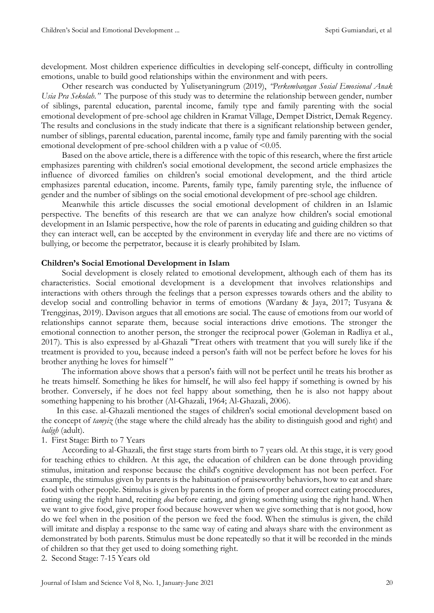development. Most children experience difficulties in developing self-concept, difficulty in controlling emotions, unable to build good relationships within the environment and with peers.

Other research was conducted by Yulisetyaningrum (2019), *"Perkembangan Sosial Emosional Anak Usia Pra Sekolah."* The purpose of this study was to determine the relationship between gender, number of siblings, parental education, parental income, family type and family parenting with the social emotional development of pre-school age children in Kramat Village, Dempet District, Demak Regency. The results and conclusions in the study indicate that there is a significant relationship between gender, number of siblings, parental education, parental income, family type and family parenting with the social emotional development of pre-school children with a p value of <0.05.

Based on the above article, there is a difference with the topic of this research, where the first article emphasizes parenting with children's social emotional development, the second article emphasizes the influence of divorced families on children's social emotional development, and the third article emphasizes parental education, income. Parents, family type, family parenting style, the influence of gender and the number of siblings on the social emotional development of pre-school age children.

Meanwhile this article discusses the social emotional development of children in an Islamic perspective. The benefits of this research are that we can analyze how children's social emotional development in an Islamic perspective, how the role of parents in educating and guiding children so that they can interact well, can be accepted by the environment in everyday life and there are no victims of bullying, or become the perpetrator, because it is clearly prohibited by Islam.

#### **Children's Social Emotional Development in Islam**

Social development is closely related to emotional development, although each of them has its characteristics. Social emotional development is a development that involves relationships and interactions with others through the feelings that a person expresses towards others and the ability to develop social and controlling behavior in terms of emotions (Wardany & Jaya, 2017; Tusyana & Trengginas, 2019). Davison argues that all emotions are social. The cause of emotions from our world of relationships cannot separate them, because social interactions drive emotions. The stronger the emotional connection to another person, the stronger the reciprocal power (Goleman in Radliya et al., 2017). This is also expressed by al-Ghazali "Treat others with treatment that you will surely like if the treatment is provided to you, because indeed a person's faith will not be perfect before he loves for his brother anything he loves for himself "

The information above shows that a person's faith will not be perfect until he treats his brother as he treats himself. Something he likes for himself, he will also feel happy if something is owned by his brother. Conversely, if he does not feel happy about something, then he is also not happy about something happening to his brother (Al-Ghazali, 1964; Al-Ghazali, 2006).

In this case. al-Ghazali mentioned the stages of children's social emotional development based on the concept of *tamyiz* (the stage where the child already has the ability to distinguish good and right) and *baligh* (adult).

# 1. First Stage: Birth to 7 Years

According to al-Ghazali, the first stage starts from birth to 7 years old. At this stage, it is very good for teaching ethics to children. At this age, the education of children can be done through providing stimulus, imitation and response because the child's cognitive development has not been perfect. For example, the stimulus given by parents is the habituation of praiseworthy behaviors, how to eat and share food with other people. Stimulus is given by parents in the form of proper and correct eating procedures, eating using the right hand, reciting *doa* before eating, and giving something using the right hand. When we want to give food, give proper food because however when we give something that is not good, how do we feel when in the position of the person we feed the food. When the stimulus is given, the child will imitate and display a response to the same way of eating and always share with the environment as demonstrated by both parents. Stimulus must be done repeatedly so that it will be recorded in the minds of children so that they get used to doing something right.

2. Second Stage: 7-15 Years old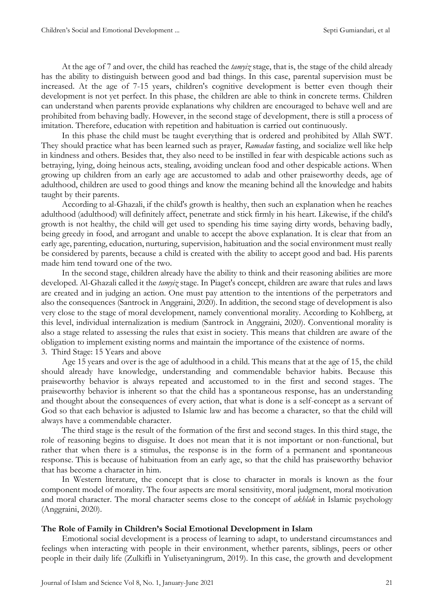At the age of 7 and over, the child has reached the *tamyiz* stage, that is, the stage of the child already has the ability to distinguish between good and bad things. In this case, parental supervision must be increased. At the age of 7-15 years, children's cognitive development is better even though their development is not yet perfect. In this phase, the children are able to think in concrete terms. Children can understand when parents provide explanations why children are encouraged to behave well and are prohibited from behaving badly. However, in the second stage of development, there is still a process of imitation. Therefore, education with repetition and habituation is carried out continuously.

In this phase the child must be taught everything that is ordered and prohibited by Allah SWT. They should practice what has been learned such as prayer, *Ramadan* fasting, and socialize well like help in kindness and others. Besides that, they also need to be instilled in fear with despicable actions such as betraying, lying, doing heinous acts, stealing, avoiding unclean food and other despicable actions. When growing up children from an early age are accustomed to adab and other praiseworthy deeds, age of adulthood, children are used to good things and know the meaning behind all the knowledge and habits taught by their parents.

According to al-Ghazali, if the child's growth is healthy, then such an explanation when he reaches adulthood (adulthood) will definitely affect, penetrate and stick firmly in his heart. Likewise, if the child's growth is not healthy, the child will get used to spending his time saying dirty words, behaving badly, being greedy in food, and arrogant and unable to accept the above explanation. It is clear that from an early age, parenting, education, nurturing, supervision, habituation and the social environment must really be considered by parents, because a child is created with the ability to accept good and bad. His parents made him tend toward one of the two.

In the second stage, children already have the ability to think and their reasoning abilities are more developed. Al-Ghazali called it the *tamyiz* stage. In Piaget's concept, children are aware that rules and laws are created and in judging an action. One must pay attention to the intentions of the perpetrators and also the consequences (Santrock in Anggraini, 2020). In addition, the second stage of development is also very close to the stage of moral development, namely conventional morality. According to Kohlberg, at this level, individual internalization is medium (Santrock in Anggraini, 2020). Conventional morality is also a stage related to assessing the rules that exist in society. This means that children are aware of the obligation to implement existing norms and maintain the importance of the existence of norms. 3. Third Stage: 15 Years and above

Age 15 years and over is the age of adulthood in a child. This means that at the age of 15, the child should already have knowledge, understanding and commendable behavior habits. Because this praiseworthy behavior is always repeated and accustomed to in the first and second stages. The praiseworthy behavior is inherent so that the child has a spontaneous response, has an understanding and thought about the consequences of every action, that what is done is a self-concept as a servant of God so that each behavior is adjusted to Islamic law and has become a character, so that the child will always have a commendable character.

The third stage is the result of the formation of the first and second stages. In this third stage, the role of reasoning begins to disguise. It does not mean that it is not important or non-functional, but rather that when there is a stimulus, the response is in the form of a permanent and spontaneous response. This is because of habituation from an early age, so that the child has praiseworthy behavior that has become a character in him.

In Western literature, the concept that is close to character in morals is known as the four component model of morality. The four aspects are moral sensitivity, moral judgment, moral motivation and moral character. The moral character seems close to the concept of *akhlak* in Islamic psychology (Anggraini, 2020).

# **The Role of Family in Children's Social Emotional Development in Islam**

Emotional social development is a process of learning to adapt, to understand circumstances and feelings when interacting with people in their environment, whether parents, siblings, peers or other people in their daily life (Zulkifli in Yulisetyaningrum, 2019). In this case, the growth and development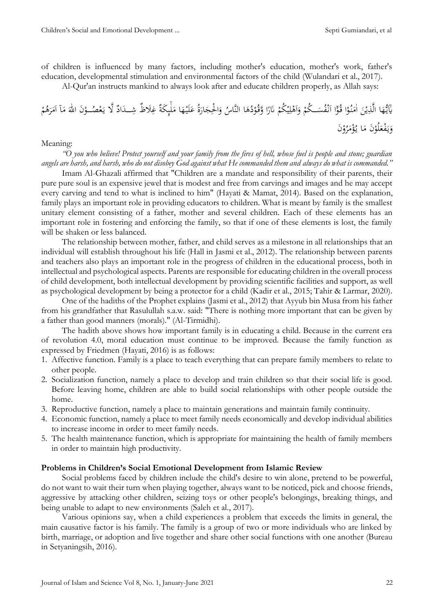of children is influenced by many factors, including mother's education, mother's work, father's education, developmental stimulation and environmental factors of the child (Wulandari et al., 2017).

Al-Qur'an instructs mankind to always look after and educate children properly, as Allah says:

 له َ ا م َ ه ْ لَي َ َ ُ َ اُ َ ا ْةِع َ و ُ ا النَّاِ َ ُم ن ْ ُو َّوق ا و َُ ق ْ ُكم ْ ي ِ ل ْ َم ا َ و ْ ُكم َ ُس ْف ن َ اا ا ْ ُو ا ق ْ ُو ن َ اهم َ ْن ي ا الَّذِ َ ه ُّ ي َ هاٰي ى َ َم اا ا َ م َ ه ٰ َن اّلل ْ و ُ ّْٰ ل َ ََّل ي غ ان َ د ِ َظا غ د غ لِ َكة ْ م ُ م َ ر َن ْ و ُ ر َ م ْ ؤ ُ ا ي َ َن م ْ لُو َ ْل ف َ ي َ و

# Meaning:

*"O you who believe! Protect yourself and your family from the fires of hell, whose fuel is people and stone; guardian angels are harsh, and harsh, who do not disobey God against what He commanded them and always do what is commanded."*

Imam Al-Ghazali affirmed that "Children are a mandate and responsibility of their parents, their pure pure soul is an expensive jewel that is modest and free from carvings and images and he may accept every carving and tend to what is inclined to him" (Hayati & Mamat, 2014). Based on the explanation, family plays an important role in providing educators to children. What is meant by family is the smallest unitary element consisting of a father, mother and several children. Each of these elements has an important role in fostering and enforcing the family, so that if one of these elements is lost, the family will be shaken or less balanced.

The relationship between mother, father, and child serves as a milestone in all relationships that an individual will establish throughout his life (Hall in Jasmi et al., 2012). The relationship between parents and teachers also plays an important role in the progress of children in the educational process, both in intellectual and psychological aspects. Parents are responsible for educating children in the overall process of child development, both intellectual development by providing scientific facilities and support, as well as psychological development by being a protector for a child (Kadir et al., 2015; Tahir & Larmar, 2020).

One of the hadiths of the Prophet explains (Jasmi et al., 2012) that Ayyub bin Musa from his father from his grandfather that Rasulullah s.a.w. said: "There is nothing more important that can be given by a father than good manners (morals)." (Al-Tirmidhi).

The hadith above shows how important family is in educating a child. Because in the current era of revolution 4.0, moral education must continue to be improved. Because the family function as expressed by Friedmen (Hayati, 2016) is as follows:

- 1. Affective function. Family is a place to teach everything that can prepare family members to relate to other people.
- 2. Socialization function, namely a place to develop and train children so that their social life is good. Before leaving home, children are able to build social relationships with other people outside the home.
- 3. Reproductive function, namely a place to maintain generations and maintain family continuity.
- 4. Economic function, namely a place to meet family needs economically and develop individual abilities to increase income in order to meet family needs.
- 5. The health maintenance function, which is appropriate for maintaining the health of family members in order to maintain high productivity.

# **Problems in Children's Social Emotional Development from Islamic Review**

Social problems faced by children include the child's desire to win alone, pretend to be powerful, do not want to wait their turn when playing together, always want to be noticed, pick and choose friends, aggressive by attacking other children, seizing toys or other people's belongings, breaking things, and being unable to adapt to new environments (Saleh et al., 2017).

Various opinions say, when a child experiences a problem that exceeds the limits in general, the main causative factor is his family. The family is a group of two or more individuals who are linked by birth, marriage, or adoption and live together and share other social functions with one another (Bureau in Setyaningsih, 2016).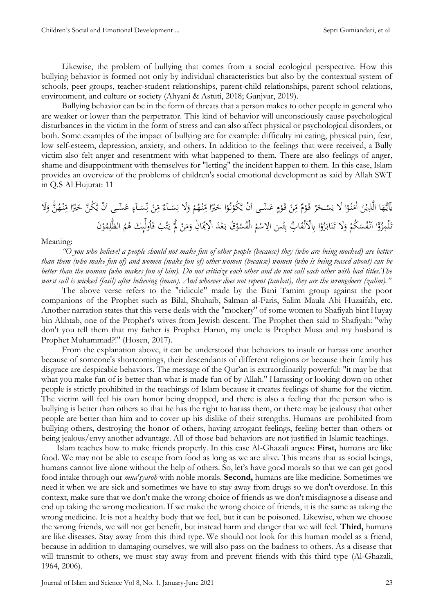Likewise, the problem of bullying that comes from a social ecological perspective. How this bullying behavior is formed not only by individual characteristics but also by the contextual system of schools, peer groups, teacher-student relationships, parent-child relationships, parent school relations, environment, and culture or society (Ahyani & Astuti, 2018; Ganjvar, 2019).

Bullying behavior can be in the form of threats that a person makes to other people in general who are weaker or lower than the perpetrator. This kind of behavior will unconsciously cause psychological disturbances in the victim in the form of stress and can also affect physical or psychological disorders, or both. Some examples of the impact of bullying are for example: difficulty ini eating, physical pain, fear, low self-esteem, depression, anxiety, and others. In addition to the feelings that were received, a Bully victim also felt anger and resentment with what happened to them. There are also feelings of anger, shame and disappointment with themselves for "letting" the incident happen to them. In this case, Islam provides an overview of the problems of children's social emotional development as said by Allah SWT in Q.S Al Hujurat: 11

َ اهم َ ْن ي ا الَّذِ َ ه ُّ ي هاٰي َ ْن َ ها َّ ا َس َ س س ا َ ٰس ِ ن ْ ن ِ ٰ م غ س ا َ س ِ ََل ن َ و ْ م ُ ْه ن ِ ٰ ا م و ْ َن ا ْ ُو ن ْ َّ ُكو َ ْن ي ها َّ ا َس َ س َ ْ َو ق ْ ن ِ ٰ م غ َ ْ َو ق ْ ر َ ْ َس ََل ي ا ْ ُو َّ ن ََل ي َ و َّن ُ ْه ن ِ ٰ ا م و ْ َن ُك َّن َ ْد ل َ ُق ب ْ و ُ ُس الْف ُ م ْ س اَلِ َ ْس ئ ِ ب ِبِۗ ا َ لْق ِِبَْلَ ا ْ و ُ ز َ اب َ ن َ ََل ت َ و ْ ُكم َ ُس ْف ن َ اا ا ْ و ُ ز لْمِ َ ت ُ ت َ ي ْ ََّّل ْ ن َ م َ و انِ َ ْْي َن اَْلِ ْ و ُ م ِ ل ه الّٰٰ ُ م ُ ََ م ى ه ُول ا َ ْب َ

#### Meaning:

*"O you who believe! a people should not make fun of other people (because) they (who are being mocked) are better than them (who make fun of) and women (make fun of) other women (because) women (who is being teased about) can be better than the woman (who makes fun of him). Do not criticize each other and do not call each other with bad titles.The worst call is wicked (fasil) after believing (iman). And whoever does not repent (taubat), they are the wrongdoers (zalim)."*

The above verse refers to the "ridicule" made by the Bani Tamim group against the poor companions of the Prophet such as Bilal, Shuhaib, Salman al-Faris, Salim Maula Abi Huzaifah, etc. Another narration states that this verse deals with the "mockery" of some women to Shafiyah bint Huyay bin Akhtab, one of the Prophet's wives from Jewish descent. The Prophet then said to Shafiyah: "why don't you tell them that my father is Prophet Harun, my uncle is Prophet Musa and my husband is Prophet Muhammad?!" (Hosen, 2017).

From the explanation above, it can be understood that behaviors to insult or harass one another because of someone's shortcomings, their descendants of different religions or because their family has disgrace are despicable behaviors. The message of the Qur'an is extraordinarily powerful: "it may be that what you make fun of is better than what is made fun of by Allah." Harassing or looking down on other people is strictly prohibited in the teachings of Islam because it creates feelings of shame for the victim. The victim will feel his own honor being dropped, and there is also a feeling that the person who is bullying is better than others so that he has the right to harass them, or there may be jealousy that other people are better than him and to cover up his dislike of their strengths. Humans are prohibited from bullying others, destroying the honor of others, having arrogant feelings, feeling better than others or being jealous/envy another advantage. All of those bad behaviors are not justified in Islamic teachings.

Islam teaches how to make friends properly. In this case Al-Ghazali argues: **First,** humans are like food. We may not be able to escape from food as long as we are alive. This means that as social beings, humans cannot live alone without the help of others. So, let's have good morals so that we can get good food intake through our *mua'syaroh* with noble morals. **Second,** humans are like medicine. Sometimes we need it when we are sick and sometimes we have to stay away from drugs so we don't overdose. In this context, make sure that we don't make the wrong choice of friends as we don't misdiagnose a disease and end up taking the wrong medication. If we make the wrong choice of friends, it is the same as taking the wrong medicine. It is not a healthy body that we feel, but it can be poisoned. Likewise, when we choose the wrong friends, we will not get benefit, but instead harm and danger that we will feel. **Third,** humans are like diseases. Stay away from this third type. We should not look for this human model as a friend, because in addition to damaging ourselves, we will also pass on the badness to others. As a disease that will transmit to others, we must stay away from and prevent friends with this third type (Al-Ghazali, 1964, 2006).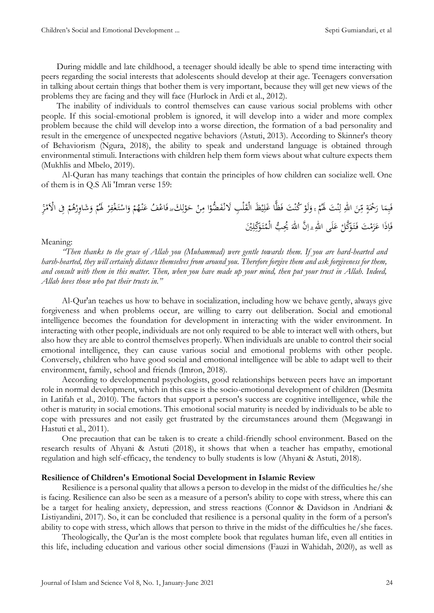During middle and late childhood, a teenager should ideally be able to spend time interacting with peers regarding the social interests that adolescents should develop at their age. Teenagers conversation in talking about certain things that bother them is very important, because they will get new views of the problems they are facing and they will face (Hurlock in Ardi et al., 2012).

The inability of individuals to control themselves can cause various social problems with other people. If this social-emotional problem is ignored, it will develop into a wider and more complex problem because the child will develop into a worse direction, the formation of a bad personality and result in the emergence of unexpected negative behaviors (Astuti, 2013). According to Skinner's theory of Behaviorism (Ngura, 2018), the ability to speak and understand language is obtained through environmental stimuli. Interactions with children help them form views about what culture expects them (Mukhlis and Mbelo, 2019).

Al-Quran has many teachings that contain the principles of how children can socialize well. One of them is in Q.S Ali 'Imran verse 159:

ْ ُف اَ َ َ ََۖ ِ ل ْ و َ ْ ح ن ِ ا م ْ ضو ُّ َ ْف ِب ََلن لْ َ َظ الْق ْ ي ِ َلل ا ًّ َّٰ َت َ ْ ُكن ْ لَو َ و ْ م ُ َت ََل ْ ن ِ ل ِ ه ٰ اّلل َ ن ِ ٰ م س ة ْْحَ َ ا ُ َ ِم ب َ َ َ َ ْ ر ِ ْف ْ َ ت ْ اس َ و ْ م ُ ْه ن ِر ْ ِِف اَْلَم ْ م ُ م ْ َداِوُ َ و ْ م ُ ََل َْي ِ ل ٰكِ َ َو ت ُ ب الْم ُّ ُُيِ َ ه ٰ َّن اّلل ِ ِۗ ا ِ ه ٰ لََّ اّلل َ َ ْ َّكل َ َو ت َ ْ َت َ م َ ز َ ا َ ذَ ِ ا َ َ

# Meaning:

*"Then thanks to the grace of Allah you (Muhammad) were gentle towards them. If you are hard-hearted and harsh-hearted, they will certainly distance themselves from around you. Therefore forgive them and ask forgiveness for them, and consult with them in this matter. Then, when you have made up your mind, then put your trust in Allah. Indeed, Allah loves those who put their trusts in."*

Al-Qur'an teaches us how to behave in socialization, including how we behave gently, always give forgiveness and when problems occur, are willing to carry out deliberation. Social and emotional intelligence becomes the foundation for development in interacting with the wider environment. In interacting with other people, individuals are not only required to be able to interact well with others, but also how they are able to control themselves properly. When individuals are unable to control their social emotional intelligence, they can cause various social and emotional problems with other people. Conversely, children who have good social and emotional intelligence will be able to adapt well to their environment, family, school and friends (Imron, 2018).

According to developmental psychologists, good relationships between peers have an important role in normal development, which in this case is the socio-emotional development of children (Desmita in Latifah et al., 2010). The factors that support a person's success are cognitive intelligence, while the other is maturity in social emotions. This emotional social maturity is needed by individuals to be able to cope with pressures and not easily get frustrated by the circumstances around them (Megawangi in Hastuti et al., 2011).

One precaution that can be taken is to create a child-friendly school environment. Based on the research results of Ahyani & Astuti (2018), it shows that when a teacher has empathy, emotional regulation and high self-efficacy, the tendency to bully students is low (Ahyani & Astuti, 2018).

# **Resilience of Children's Emotional Social Development in Islamic Review**

Resilience is a personal quality that allows a person to develop in the midst of the difficulties he/she is facing. Resilience can also be seen as a measure of a person's ability to cope with stress, where this can be a target for healing anxiety, depression, and stress reactions (Connor & Davidson in Andriani & Listiyandini, 2017). So, it can be concluded that resilience is a personal quality in the form of a person's ability to cope with stress, which allows that person to thrive in the midst of the difficulties he/she faces.

Theologically, the Qur'an is the most complete book that regulates human life, even all entities in this life, including education and various other social dimensions (Fauzi in Wahidah, 2020), as well as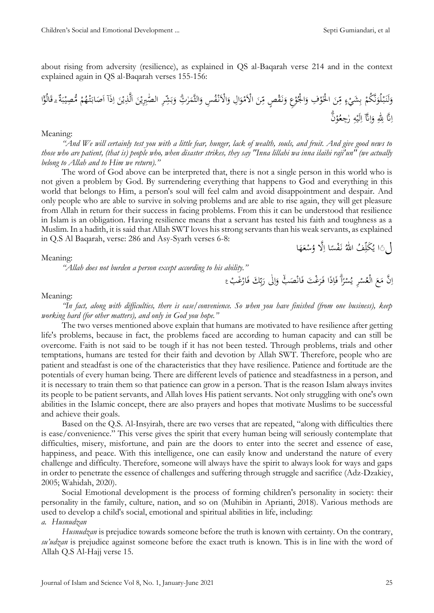about rising from adversity (resilience), as explained in QS al-Baqarah verse 214 and in the context explained again in QS al-Baqarah verses 155-156:

ِر ا َ ٰشِ ب َ و ِتِۗ ه ر َ الثَّم َ ِس و ُ ْف ن اَْلَ َ ِل و ا َ و ْ اَْلَم َ ن ِ ٰ سص م ْ َق ن َ ِع و ْ و ُ ا ْْل َ ِف و ْ َو ا ْْل َ ٰن ِ م س س ْ َشي ِ ب ْ نَّ ُكم َ لُو ْ ب َ لَن َ و ل َ ب ْ ِّٰي ُّم ْ م ُ ْه ت َ اب َ َص اا ا ذَ ِ ا َ ْن ي لَّذِ َ ا َ ْن هِِِبي ٰ َ اا غِۗ ق ْ ّٰ ة الُو ِۗ َن ْ و ُ ل هُجِ ِ ه ْ لَي ِ َّقا ا ِ ا َ و ِ ه ٰ َّق ّلل ِ ِ ا

### Meaning:

*"And We will certainly test you with a little fear, hunger, lack of wealth, souls, and fruit. And give good news to those who are patient, (that is) people who, when disaster strikes, they say "Inna lillahi wa inna ilaihi raji'un" (we actually belong to Allah and to Him we return)."*

The word of God above can be interpreted that, there is not a single person in this world who is not given a problem by God. By surrendering everything that happens to God and everything in this world that belongs to Him, a person's soul will feel calm and avoid disappointment and despair. And only people who are able to survive in solving problems and are able to rise again, they will get pleasure from Allah in return for their success in facing problems. From this it can be understood that resilience in Islam is an obligation. Having resilience means that a servant has tested his faith and toughness as a Muslim. In a hadith, it is said that Allah SWT loves his strong servants than his weak servants, as explained in Q.S Al Baqarah, verse: 286 and Asy-Syarh verses 6-8:

لَٰ َا يُكَلِّفُ اللهُ نَفْسًا اِلَّا وُسْعَهَا َ **ٔ** ِ و ر<br>با ِّ  $\overline{\phantom{a}}$ 

### Meaning:

*"Allah does not burden a person except according to his ability."*

اِنَّ مَعَ الْعُسْرِ يُسْرَأُ فَاِذَا فَرَغْتَ فَانْصَبْ ۚ وَاِلَٰى رَبِّكَ فَارْغَبْ ْ  $\zeta$  $\mathbf{r}$  $\overline{)}$ <u>ّا</u> <u>،</u> ڹ بہ بد َ  $\overline{1}$ ا َ ْۙ <u>،</u> َ  $\overline{a}$ .<br>فر ة<br>|-<br>|≽ ا و سْرًا ۖ فَإِذَا فَرَغْتَ فَانْصَبْ ۚ وَاِلَى رَبِّكَ فَارْغَبْ ۦَ ْ

#### Meaning:

*"In fact, along with difficulties, there is ease/convenience. So when you have finished (from one business), keep working hard (for other matters), and only in God you hope."*

The two verses mentioned above explain that humans are motivated to have resilience after getting life's problems, because in fact, the problems faced are according to human capacity and can still be overcome. Faith is not said to be tough if it has not been tested. Through problems, trials and other temptations, humans are tested for their faith and devotion by Allah SWT. Therefore, people who are patient and steadfast is one of the characteristics that they have resilience. Patience and fortitude are the potentials of every human being. There are different levels of patience and steadfastness in a person, and it is necessary to train them so that patience can grow in a person. That is the reason Islam always invites its people to be patient servants, and Allah loves His patient servants. Not only struggling with one's own abilities in the Islamic concept, there are also prayers and hopes that motivate Muslims to be successful and achieve their goals.

Based on the Q.S. Al-Insyirah, there are two verses that are repeated, "along with difficulties there is ease/convenience." This verse gives the spirit that every human being will seriously contemplate that difficulties, misery, misfortune, and pain are the doors to enter into the secret and essence of ease, happiness, and peace. With this intelligence, one can easily know and understand the nature of every challenge and difficulty. Therefore, someone will always have the spirit to always look for ways and gaps in order to penetrate the essence of challenges and suffering through struggle and sacrifice (Adz-Dzakiey, 2005; Wahidah, 2020).

Social Emotional development is the process of forming children's personality in society: their personality in the family, culture, nation, and so on (Muhibin in Aprianti, 2018). Various methods are used to develop a child's social, emotional and spiritual abilities in life, including: *a. Husnudzan*

*Husnudzan* is prejudice towards someone before the truth is known with certainty. On the contrary, *su'udzan* is prejudice against someone before the exact truth is known. This is in line with the word of Allah Q.S Al-Hajj verse 15.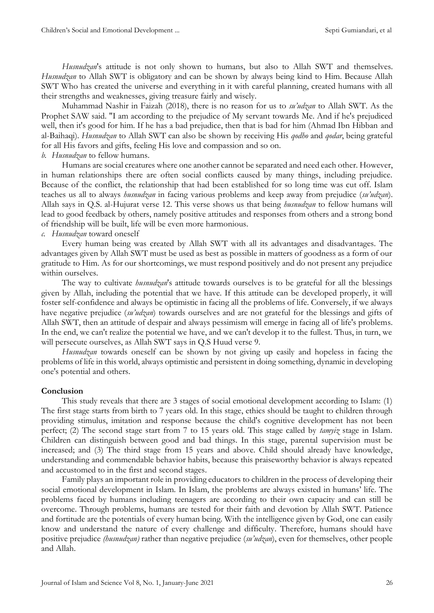*Husnudzan*'s attitude is not only shown to humans, but also to Allah SWT and themselves. *Husnudzan* to Allah SWT is obligatory and can be shown by always being kind to Him. Because Allah SWT Who has created the universe and everything in it with careful planning, created humans with all their strengths and weaknesses, giving treasure fairly and wisely.

Muhammad Nashir in Faizah (2018), there is no reason for us to *su'udzan* to Allah SWT. As the Prophet SAW said. "I am according to the prejudice of My servant towards Me. And if he's prejudiced well, then it's good for him. If he has a bad prejudice, then that is bad for him (Ahmad Ibn Hibban and al-Baihaqi). *Husnudzan* to Allah SWT can also be shown by receiving His *qodho* and *qodar*, being grateful for all His favors and gifts, feeling His love and compassion and so on.

# *b. Husnudzan* to fellow humans.

Humans are social creatures where one another cannot be separated and need each other. However, in human relationships there are often social conflicts caused by many things, including prejudice. Because of the conflict, the relationship that had been established for so long time was cut off. Islam teaches us all to always *husnudzan* in facing various problems and keep away from prejudice (*su'udzan*). Allah says in Q.S. al-Hujurat verse 12. This verse shows us that being *husnudzan* to fellow humans will lead to good feedback by others, namely positive attitudes and responses from others and a strong bond of friendship will be built, life will be even more harmonious.

# *c. Husnudzan* toward oneself

Every human being was created by Allah SWT with all its advantages and disadvantages. The advantages given by Allah SWT must be used as best as possible in matters of goodness as a form of our gratitude to Him. As for our shortcomings, we must respond positively and do not present any prejudice within ourselves.

The way to cultivate *husnudzan*'s attitude towards ourselves is to be grateful for all the blessings given by Allah, including the potential that we have. If this attitude can be developed properly, it will foster self-confidence and always be optimistic in facing all the problems of life. Conversely, if we always have negative prejudice (*su'udzan*) towards ourselves and are not grateful for the blessings and gifts of Allah SWT, then an attitude of despair and always pessimism will emerge in facing all of life's problems. In the end, we can't realize the potential we have, and we can't develop it to the fullest. Thus, in turn, we will persecute ourselves, as Allah SWT says in Q.S Huud verse 9.

*Husnudzan* towards oneself can be shown by not giving up easily and hopeless in facing the problems of life in this world, always optimistic and persistent in doing something, dynamic in developing one's potential and others.

# **Conclusion**

This study reveals that there are 3 stages of social emotional development according to Islam: (1) The first stage starts from birth to 7 years old. In this stage, ethics should be taught to children through providing stimulus, imitation and response because the child's cognitive development has not been perfect; (2) The second stage start from 7 to 15 years old. This stage called by *tamyiz* stage in Islam. Children can distinguish between good and bad things. In this stage, parental supervision must be increased; and (3) The third stage from 15 years and above. Child should already have knowledge, understanding and commendable behavior habits, because this praiseworthy behavior is always repeated and accustomed to in the first and second stages.

Family plays an important role in providing educators to children in the process of developing their social emotional development in Islam. In Islam, the problems are always existed in humans' life. The problems faced by humans including teenagers are according to their own capacity and can still be overcome. Through problems, humans are tested for their faith and devotion by Allah SWT. Patience and fortitude are the potentials of every human being. With the intelligence given by God, one can easily know and understand the nature of every challenge and difficulty. Therefore, humans should have positive prejudice *(husnudzan)* rather than negative prejudice (*su'udzan*), even for themselves, other people and Allah.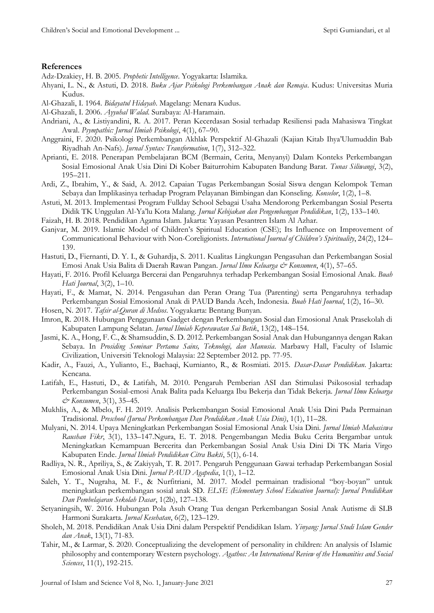### **References**

Adz-Dzakiey, H. B. 2005. *Prophetic Intelligence*. Yogyakarta: Islamika.

- Ahyani, L. N., & Astuti, D. 2018. *Buku Ajar Psikologi Perkembangan Anak dan Remaja*. Kudus: Universitas Muria Kudus.
- Al-Ghazali, I. 1964. *Bidayatul Hidayah*. Magelang: Menara Kudus.
- Al-Ghazali, I. 2006. *Ayyuhal Walad*. Surabaya: Al-Haramain.
- Andriani, A., & Listiyandini, R. A. 2017. Peran Kecerdasan Sosial terhadap Resiliensi pada Mahasiswa Tingkat Awal. *Psympathic: Jurnal Ilmiah Psikologi*, 4(1), 67–90.
- Anggraini, F. 2020. Psikologi Perkembangan Akhlak Perspektif Al-Ghazali (Kajian Kitab Ihya'Ulumuddin Bab Riyadhah An-Nafs). *Jurnal Syntax Transformation*, 1(7), 312–322.
- Aprianti, E. 2018. Penerapan Pembelajaran BCM (Bermain, Cerita, Menyanyi) Dalam Konteks Perkembangan Sosial Emosional Anak Usia Dini Di Kober Baiturrohim Kabupaten Bandung Barat. *Tunas Siliwangi*, 3(2), 195–211.
- Ardi, Z., Ibrahim, Y., & Said, A. 2012. Capaian Tugas Perkembangan Sosial Siswa dengan Kelompok Teman Sebaya dan Implikasinya terhadap Program Pelayanan Bimbingan dan Konseling. *Konselor*, 1(2), 1–8.
- Astuti, M. 2013. Implementasi Program Fullday School Sebagai Usaha Mendorong Perkembangan Sosial Peserta Didik TK Unggulan Al-Ya'lu Kota Malang. *Jurnal Kebijakan dan Pengembangan Pendidikan*, 1(2), 133–140.
- Faizah, H. B. 2018. Pendidikan Agama Islam. Jakarta: Yayasan Pesantren Islam Al Azhar.
- Ganjvar, M. 2019. Islamic Model of Children's Spiritual Education (CSE); Its Influence on Improvement of Communicational Behaviour with Non-Coreligionists. *International Journal of Children's Spirituality*, 24(2), 124– 139.
- Hastuti, D., Fiernanti, D. Y. I., & Guhardja, S. 2011. Kualitas Lingkungan Pengasuhan dan Perkembangan Sosial Emosi Anak Usia Balita di Daerah Rawan Pangan. *Jurnal Ilmu Keluarga & Konsumen*, 4(1), 57–65.
- Hayati, F. 2016. Profil Keluarga Bercerai dan Pengaruhnya terhadap Perkembangan Sosial Emosional Anak. *Buah Hati Journal*, 3(2), 1–10.
- Hayati, F., & Mamat, N. 2014. Pengasuhan dan Peran Orang Tua (Parenting) serta Pengaruhnya terhadap Perkembangan Sosial Emosional Anak di PAUD Banda Aceh, Indonesia. *Buah Hati Journal*, 1(2), 16–30.
- Hosen, N. 2017. *Tafsir al-Quran di Medsos*. Yogyakarta: Bentang Bunyan.
- Imron, R. 2018. Hubungan Penggunaan Gadget dengan Perkembangan Sosial dan Emosional Anak Prasekolah di Kabupaten Lampung Selatan. *Jurnal Ilmiah Keperawatan Sai Betik*, 13(2), 148–154.
- Jasmi, K. A., Hong, F. C., & Shamsuddin, S. D. 2012. Perkembangan Sosial Anak dan Hubungannya dengan Rakan Sebaya. In *Prosiding Seminar Pertama Sains, Teknologi, dan Manusia.* Marbawy Hall, Faculty of Islamic Civilization, Universiti Teknologi Malaysia: 22 September 2012. pp. 77-95.
- Kadir, A., Fauzi, A., Yulianto, E., Baehaqi, Kurnianto, R., & Rosmiati. 2015. *Dasar-Dasar Pendidikan*. Jakarta: Kencana.
- Latifah, E., Hastuti, D., & Latifah, M. 2010. Pengaruh Pemberian ASI dan Stimulasi Psikososial terhadap Perkembangan Sosial-emosi Anak Balita pada Keluarga Ibu Bekerja dan Tidak Bekerja. *Jurnal Ilmu Keluarga & Konsumen*, 3(1), 35–45.
- Mukhlis, A., & Mbelo, F. H. 2019. Analisis Perkembangan Sosial Emosional Anak Usia Dini Pada Permainan Tradisional. *Preschool (Jurnal Perkembangan Dan Pendidikan Anak Usia Dini)*, 1(1), 11–28.
- Mulyani, N. 2014. Upaya Meningkatkan Perkembangan Sosial Emosional Anak Usia Dini. *Jurnal Ilmiah Mahasiswa Raushan Fikr*, 3(1), 133–147.Ngura, E. T. 2018. Pengembangan Media Buku Cerita Bergambar untuk Meningkatkan Kemampuan Bercerita dan Perkembangan Sosial Anak Usia Dini Di TK Maria Virgo Kabupaten Ende. *Jurnal Ilmiah Pendidikan Citra Bakti*, 5(1), 6-14.
- Radliya, N. R., Apriliya, S., & Zakiyyah, T. R. 2017. Pengaruh Penggunaan Gawai terhadap Perkembangan Sosial Emosional Anak Usia Dini. *Jurnal PAUD Agapedia*, 1(1), 1–12.
- Saleh, Y. T., Nugraha, M. F., & Nurfitriani, M. 2017. Model permainan tradisional "boy-boyan" untuk meningkatkan perkembangan sosial anak SD. *ELSE (Elementary School Education Journal): Jurnal Pendidikan Dan Pembelajaran Sekolah Dasar*, 1(2b), 127–138.
- Setyaningsih, W. 2016. Hubungan Pola Asuh Orang Tua dengan Perkembangan Sosial Anak Autisme di SLB Harmoni Surakarta. *Jurnal Kesehatan*, 6(2), 123–129.
- Sholeh, M. 2018. Pendidikan Anak Usia Dini dalam Perspektif Pendidikan Islam. *Yinyang: Jurnal Studi Islam Gender dan Anak*, 13(1), 71-83.
- Tahir, M., & Larmar, S. 2020. Conceptualizing the development of personality in children: An analysis of Islamic philosophy and contemporary Western psychology. *Agathos: An International Review of the Humanities and Social Sciences*, 11(1), 192-215.